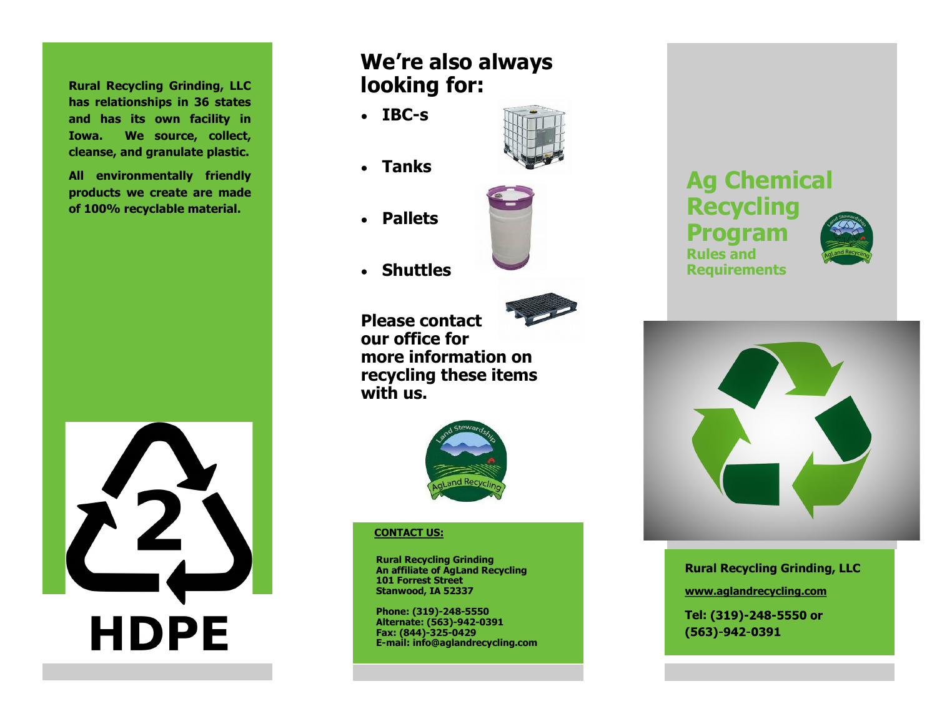**Rural Recycling Grinding, LLC has relationships in 36 states and has its own facility in Iowa. We source, collect, cleanse, and granulate plastic.** 

**All environmentally friendly products we create are made of 100% recyclable material.**



# **We're also always looking for:**

- **IBC-s**
- **Tanks**
- **Pallets**



**Shuttles**



**Please contact our office for more information on recycling these items with us.**



## **CONTACT US:**

**Rural Recycling Grinding An affiliate of AgLand Recycling 101 Forrest Street Stanwood, IA 52337**

**Phone: (319)-248-5550 Alternate: (563)-942-0391 Fax: (844)-325-0429 E-mail: info@aglandrecycling.com** 





**Rural Recycling Grinding, LLC www.aglandrecycling.com** Tel: (319)-248-5550 or  $(563)-942-0391$